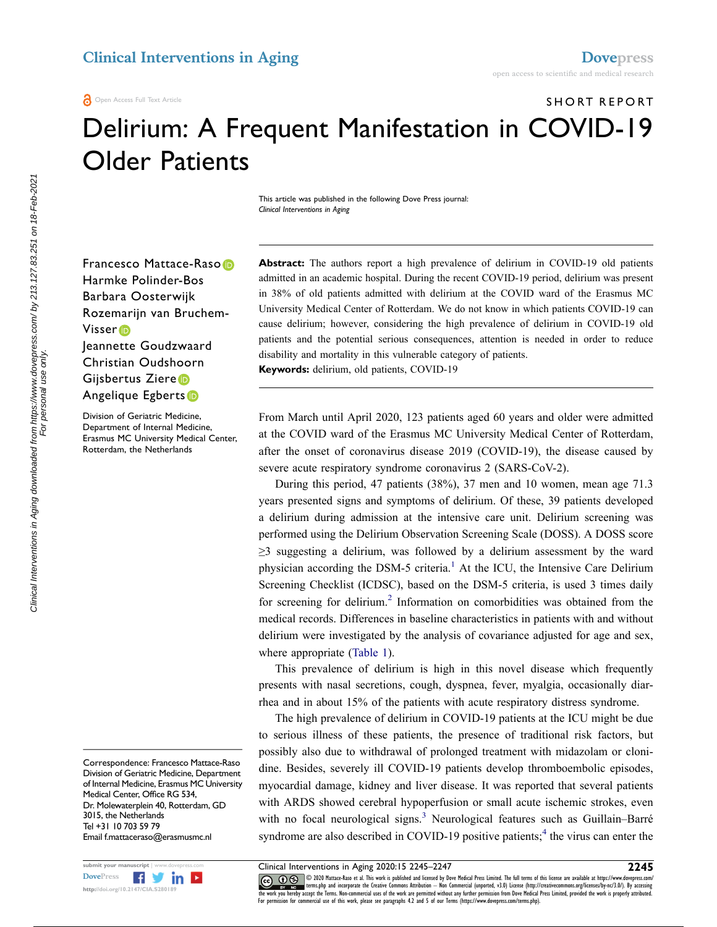SHORT REPORT

# Delirium: A Frequent Manifestation in COVID-19 Older Patients

This article was published in the following Dove Press journal: *Clinical Interventions in Aging*

Francesco Mattace-Raso<sup>®</sup> Harmke Polinder-Bos Barbara Oosterwijk Rozemarijn van Bruchem-Visse[r](http://orcid.org/0000-0002-6833-7641) Jeannette Goudzwaard Christian Oudshoorn Gijsbertus Ziere

#### Angelique Egberts

Division of Geriatric Medicine, Department of Internal Medicine, Erasmus MC University Medical Center, Rotterdam, the Netherlands

Correspondence: Francesco Mattace-Raso Division of Geriatric Medicine, Department of Internal Medicine, Erasmus MC University Medical Center, Office RG 534, Dr. Molewaterplein 40, Rotterdam, GD 3015, the Netherlands Tel +31 10 703 59 79 Email [f.mattaceraso@erasmusmc.nl](mailto:f.mattaceraso@erasmusmc.nl)



**Abstract:** The authors report a high prevalence of delirium in COVID-19 old patients admitted in an academic hospital. During the recent COVID-19 period, delirium was present in 38% of old patients admitted with delirium at the COVID ward of the Erasmus MC University Medical Center of Rotterdam. We do not know in which patients COVID-19 can cause delirium; however, considering the high prevalence of delirium in COVID-19 old patients and the potential serious consequences, attention is needed in order to reduce disability and mortality in this vulnerable category of patients. **Keywords:** delirium, old patients, COVID-19

From March until April 2020, 123 patients aged 60 years and older were admitted at the COVID ward of the Erasmus MC University Medical Center of Rotterdam, after the onset of coronavirus disease 2019 (COVID-19), the disease caused by severe acute respiratory syndrome coronavirus 2 (SARS-CoV-2).

<span id="page-0-0"></span>During this period, 47 patients (38%), 37 men and 10 women, mean age 71.3 years presented signs and symptoms of delirium. Of these, 39 patients developed a delirium during admission at the intensive care unit. Delirium screening was performed using the Delirium Observation Screening Scale (DOSS). A DOSS score  $\geq$ 3 suggesting a delirium, was followed by a delirium assessment by the ward physician according the DSM-5 criteria.<sup>1</sup> At the ICU, the Intensive Care Delirium Screening Checklist (ICDSC), based on the DSM-5 criteria, is used 3 times daily for screening for delirium.<sup>[2](#page-1-1)</sup> Information on comorbidities was obtained from the medical records. Differences in baseline characteristics in patients with and without delirium were investigated by the analysis of covariance adjusted for age and sex, where appropriate ([Table 1](#page-1-2)).

<span id="page-0-1"></span>This prevalence of delirium is high in this novel disease which frequently presents with nasal secretions, cough, dyspnea, fever, myalgia, occasionally diarrhea and in about 15% of the patients with acute respiratory distress syndrome.

The high prevalence of delirium in COVID-19 patients at the ICU might be due to serious illness of these patients, the presence of traditional risk factors, but possibly also due to withdrawal of prolonged treatment with midazolam or clonidine. Besides, severely ill COVID-19 patients develop thromboembolic episodes, myocardial damage, kidney and liver disease. It was reported that several patients with ARDS showed cerebral hypoperfusion or small acute ischemic strokes, even with no focal neurological signs.<sup>[3](#page-1-3)</sup> Neurological features such as Guillain–Barré syndrome are also described in COVID-19 positive patients;<sup>4</sup> the virus can enter the

<span id="page-0-3"></span><span id="page-0-2"></span>

submit your manuscript | www.dovepress.com **Clinical Interventions in Aging 2020:15 2245–2247 2245**<br>DovePress **Figure 2020 2245 2245 2245 2245 2246 2220 2220 Hattace-Raso et al. This work is published and l CO D**  $\circledast$  © 2020 Mattace-Raso et al. This work is published and licensed by Dove Medical Press Limited. The full terms of this license are available at https://www.dovepress.com/ www.giventerms.php and incorporate the Creative Commons Attribution — Non Commercial (unported, v3.0) License (http://creativecommons.org/licenses/by-nc/3.0/). By accessing<br>the work you hereby accept the Terms. Non-commerc For permission for commercial use of this work, please see paragraphs 4.2 and 5 of our Terms (https://www.dovepress.com/terms.php).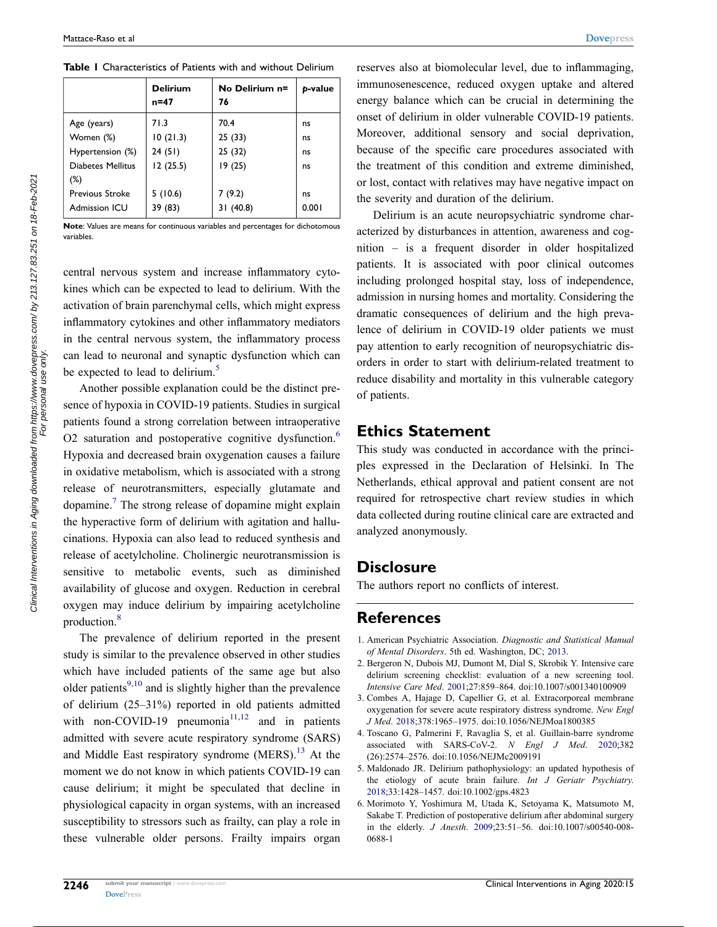<span id="page-1-2"></span>**Table 1** Characteristics of Patients with and without Delirium

|                        | <b>Delirium</b><br>$n = 47$ | No Delirium n=<br>76 | b-value |
|------------------------|-----------------------------|----------------------|---------|
| Age (years)            | 71.3                        | 70.4                 | ns      |
| Women (%)              | 10(21.3)                    | 25 (33)              | ns      |
| Hypertension (%)       | 24(51)                      | 25 (32)              | ns      |
| Diabetes Mellitus      | 12(25.5)                    | 19(25)               | ns      |
| $(\%)$                 |                             |                      |         |
| <b>Previous Stroke</b> | 5(10.6)                     | 7(9.2)               | ns      |
| <b>Admission ICU</b>   | 39 (83)                     | (40.8)               | 0.001   |

**Note**: Values are means for continuous variables and percentages for dichotomous variables.

central nervous system and increase inflammatory cytokines which can be expected to lead to delirium. With the activation of brain parenchymal cells, which might express inflammatory cytokines and other inflammatory mediators in the central nervous system, the inflammatory process can lead to neuronal and synaptic dysfunction which can be expected to lead to delirium.<sup>[5](#page-1-5)</sup>

<span id="page-1-9"></span><span id="page-1-8"></span><span id="page-1-7"></span>Another possible explanation could be the distinct presence of hypoxia in COVID-19 patients. Studies in surgical patients found a strong correlation between intraoperative O2 saturation and postoperative cognitive dysfunction.<sup>6</sup> Hypoxia and decreased brain oxygenation causes a failure in oxidative metabolism, which is associated with a strong release of neurotransmitters, especially glutamate and dopamine.[7](#page-2-0) The strong release of dopamine might explain the hyperactive form of delirium with agitation and hallucinations. Hypoxia can also lead to reduced synthesis and release of acetylcholine. Cholinergic neurotransmission is sensitive to metabolic events, such as diminished availability of glucose and oxygen. Reduction in cerebral oxygen may induce delirium by impairing acetylcholine production.<sup>[8](#page-2-1)</sup>

<span id="page-1-13"></span><span id="page-1-12"></span><span id="page-1-11"></span><span id="page-1-10"></span>The prevalence of delirium reported in the present study is similar to the prevalence observed in other studies which have included patients of the same age but also older patients $9,10$  and is slightly higher than the prevalence of delirium (25–31%) reported in old patients admitted with non-COVID-19 pneumonia<sup>[11](#page-2-4),12</sup> and in patients admitted with severe acute respiratory syndrome (SARS) and Middle East respiratory syndrome (MERS).[13](#page-2-6) At the moment we do not know in which patients COVID-19 can cause delirium; it might be speculated that decline in physiological capacity in organ systems, with an increased susceptibility to stressors such as frailty, can play a role in these vulnerable older persons. Frailty impairs organ

reserves also at biomolecular level, due to inflammaging, immunosenescence, reduced oxygen uptake and altered energy balance which can be crucial in determining the onset of delirium in older vulnerable COVID-19 patients. Moreover, additional sensory and social deprivation, because of the specific care procedures associated with the treatment of this condition and extreme diminished, or lost, contact with relatives may have negative impact on the severity and duration of the delirium.

Delirium is an acute neuropsychiatric syndrome characterized by disturbances in attention, awareness and cognition – is a frequent disorder in older hospitalized patients. It is associated with poor clinical outcomes including prolonged hospital stay, loss of independence, admission in nursing homes and mortality. Considering the dramatic consequences of delirium and the high prevalence of delirium in COVID-19 older patients we must pay attention to early recognition of neuropsychiatric disorders in order to start with delirium-related treatment to reduce disability and mortality in this vulnerable category of patients.

### **Ethics Statement**

This study was conducted in accordance with the principles expressed in the Declaration of Helsinki. In The Netherlands, ethical approval and patient consent are not required for retrospective chart review studies in which data collected during routine clinical care are extracted and analyzed anonymously.

# **Disclosure**

The authors report no conflicts of interest.

# **References**

- <span id="page-1-0"></span>1. American Psychiatric Association. *Diagnostic and Statistical Manual of Mental Disorders*. 5th ed. Washington, DC; [2013.](#page-0-0)
- <span id="page-1-1"></span>2. Bergeron N, Dubois MJ, Dumont M, Dial S, Skrobik Y. Intensive care delirium screening checklist: evaluation of a new screening tool. *Intensive Care Med*. [2001](#page-0-1);27:859–864. doi:[10.1007/s001340100909](https://doi.org/10.1007/s001340100909)
- <span id="page-1-3"></span>3. Combes A, Hajage D, Capellier G, et al. Extracorporeal membrane oxygenation for severe acute respiratory distress syndrome. *New Engl J Med*. [2018](#page-0-2);378:1965–1975. doi:[10.1056/NEJMoa1800385](https://doi.org/10.1056/NEJMoa1800385)
- <span id="page-1-4"></span>4. Toscano G, Palmerini F, Ravaglia S, et al. Guillain-barre syndrome associated with SARS-CoV-2. *N Engl J Med*. [2020](#page-0-3);382 (26):2574–2576. doi:[10.1056/NEJMc2009191](https://doi.org/10.1056/NEJMc2009191)
- <span id="page-1-5"></span>5. Maldonado JR. Delirium pathophysiology: an updated hypothesis of the etiology of acute brain failure. *Int J Geriatr Psychiatry*. [2018](#page-1-7);33:1428–1457. doi:[10.1002/gps.4823](https://doi.org/10.1002/gps.4823)
- <span id="page-1-6"></span>6. Morimoto Y, Yoshimura M, Utada K, Setoyama K, Matsumoto M, Sakabe T. Prediction of postoperative delirium after abdominal surgery in the elderly. *J Anesth*. [2009;](#page-1-8)23:51–56. doi:[10.1007/s00540-008-](https://doi.org/10.1007/s00540-008-0688-1) [0688-1](https://doi.org/10.1007/s00540-008-0688-1)